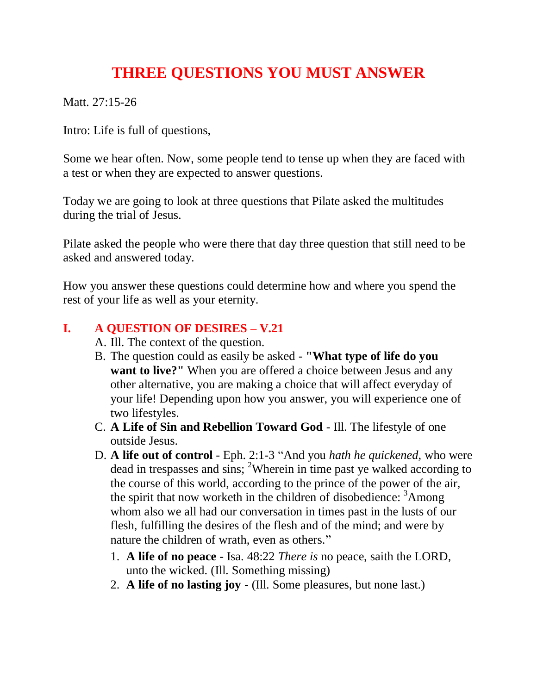## **THREE QUESTIONS YOU MUST ANSWER**

Matt. 27:15-26

Intro: Life is full of questions,

Some we hear often. Now, some people tend to tense up when they are faced with a test or when they are expected to answer questions.

Today we are going to look at three questions that Pilate asked the multitudes during the trial of Jesus.

Pilate asked the people who were there that day three question that still need to be asked and answered today.

How you answer these questions could determine how and where you spend the rest of your life as well as your eternity.

## **I. A QUESTION OF DESIRES – V.21**

- A. Ill. The context of the question.
- B. The question could as easily be asked **"What type of life do you want to live?"** When you are offered a choice between Jesus and any other alternative, you are making a choice that will affect everyday of your life! Depending upon how you answer, you will experience one of two lifestyles.
- C. **A Life of Sin and Rebellion Toward God** Ill. The lifestyle of one outside Jesus.
- D. **A life out of control** Eph. 2:1-3 "And you *hath he quickened*, who were dead in trespasses and sins; <sup>2</sup>Wherein in time past ye walked according to the course of this world, according to the prince of the power of the air, the spirit that now worketh in the children of disobedience:  $3$ Among whom also we all had our conversation in times past in the lusts of our flesh, fulfilling the desires of the flesh and of the mind; and were by nature the children of wrath, even as others."
	- 1. **A life of no peace** Isa. 48:22 *There is* no peace, saith the LORD, unto the wicked. (Ill. Something missing)
	- 2. **A life of no lasting joy** (Ill. Some pleasures, but none last.)